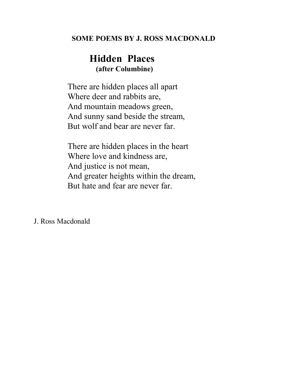#### **SOME POEMS BY J. ROSS MACDONALD**

# **Hidden Places (after Columbine)**

There are hidden places all apart Where deer and rabbits are, And mountain meadows green, And sunny sand beside the stream, But wolf and bear are never far.

There are hidden places in the heart Where love and kindness are, And justice is not mean, And greater heights within the dream, But hate and fear are never far.

J. Ross Macdonald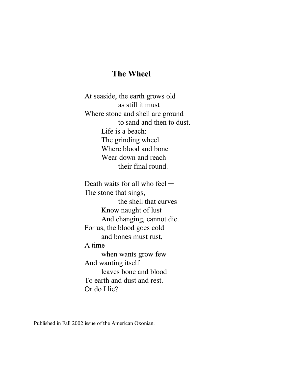#### **The Wheel**

At seaside, the earth grows old as still it must Where stone and shell are ground to sand and then to dust. Life is a beach: The grinding wheel Where blood and bone Wear down and reach their final round.

Death waits for all who feel  $-$ The stone that sings, the shell that curves Know naught of lust And changing, cannot die. For us, the blood goes cold and bones must rust, A time when wants grow few And wanting itself leaves bone and blood To earth and dust and rest. Or do I lie?

Published in Fall 2002 issue of the American Oxonian.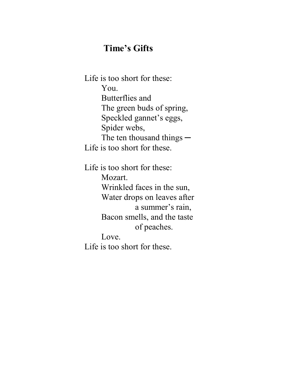# **Time's Gifts**

Life is too short for these: You. Butterflies and The green buds of spring, Speckled gannet's eggs, Spider webs, The ten thousand things  $-$ Life is too short for these.

Life is too short for these: Mozart. Wrinkled faces in the sun, Water drops on leaves after a summer's rain, Bacon smells, and the taste of peaches. Love. Life is too short for these.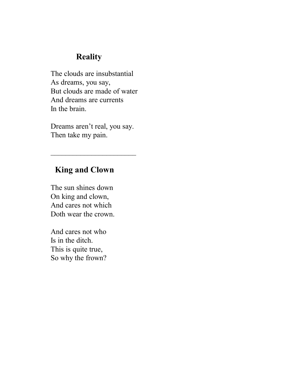## **Reality**

The clouds are insubstantial As dreams, you say, But clouds are made of water And dreams are currents In the brain.

Dreams aren't real, you say. Then take my pain.

 $\overline{\phantom{a}}$  , where  $\overline{\phantom{a}}$  , where  $\overline{\phantom{a}}$  , where  $\overline{\phantom{a}}$ 

## **King and Clown**

The sun shines down On king and clown, And cares not which Doth wear the crown.

And cares not who Is in the ditch. This is quite true, So why the frown?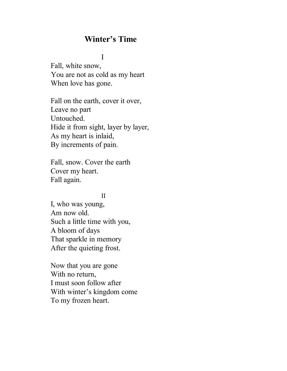## **Winter's Time**

#### I

Fall, white snow, You are not as cold as my heart When love has gone.

Fall on the earth, cover it over, Leave no part Untouched. Hide it from sight, layer by layer, As my heart is inlaid, By increments of pain.

Fall, snow. Cover the earth Cover my heart. Fall again.

#### II

I, who was young, Am now old. Such a little time with you, A bloom of days That sparkle in memory After the quieting frost.

Now that you are gone With no return, I must soon follow after With winter's kingdom come To my frozen heart.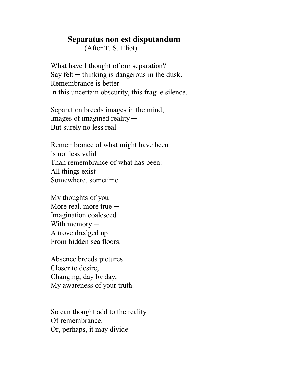#### **Separatus non est disputandum**

(After T. S. Eliot)

What have I thought of our separation? Say felt  $-$  thinking is dangerous in the dusk. Remembrance is better In this uncertain obscurity, this fragile silence.

Separation breeds images in the mind; Images of imagined reality  $-$ But surely no less real.

Remembrance of what might have been Is not less valid Than remembrance of what has been: All things exist Somewhere, sometime.

My thoughts of you More real, more true  $-$ Imagination coalesced With memory — A trove dredged up From hidden sea floors.

Absence breeds pictures Closer to desire, Changing, day by day, My awareness of your truth.

So can thought add to the reality Of remembrance. Or, perhaps, it may divide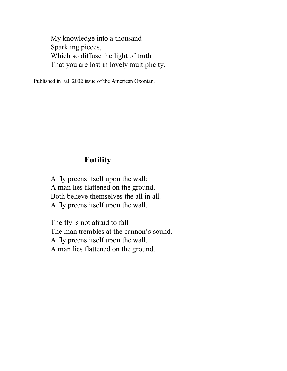My knowledge into a thousand Sparkling pieces, Which so diffuse the light of truth That you are lost in lovely multiplicity.

Published in Fall 2002 issue of the American Oxonian.

#### **Futility**

A fly preens itself upon the wall; A man lies flattened on the ground. Both believe themselves the all in all. A fly preens itself upon the wall.

The fly is not afraid to fall The man trembles at the cannon's sound. A fly preens itself upon the wall. A man lies flattened on the ground.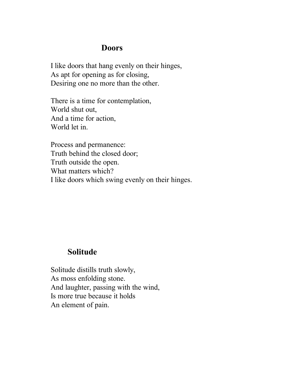#### **Doors**

I like doors that hang evenly on their hinges, As apt for opening as for closing, Desiring one no more than the other.

There is a time for contemplation, World shut out, And a time for action, World let in.

Process and permanence: Truth behind the closed door; Truth outside the open. What matters which? I like doors which swing evenly on their hinges.

#### **Solitude**

Solitude distills truth slowly, As moss enfolding stone. And laughter, passing with the wind, Is more true because it holds An element of pain.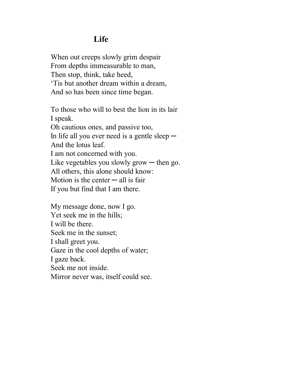## **Life**

When out creeps slowly grim despair From depths immeasurable to man, Then stop, think, take heed, 'Tis but another dream within a dream, And so has been since time began.

To those who will to best the lion in its lair I speak. Oh cautious ones, and passive too, In life all you ever need is a gentle sleep  $-$ And the lotus leaf. I am not concerned with you. Like vegetables you slowly grow  $-$  then go. All others, this alone should know: Motion is the center  $-$  all is fair If you but find that I am there.

My message done, now I go. Yet seek me in the hills; I will be there. Seek me in the sunset; I shall greet you. Gaze in the cool depths of water; I gaze back. Seek me not inside. Mirror never was, itself could see.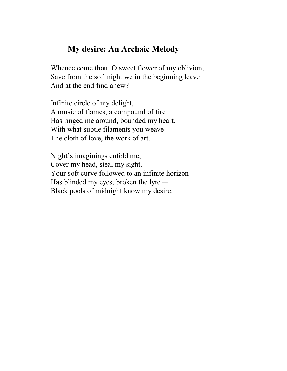### **My desire: An Archaic Melody**

Whence come thou, O sweet flower of my oblivion, Save from the soft night we in the beginning leave And at the end find anew?

Infinite circle of my delight, A music of flames, a compound of fire Has ringed me around, bounded my heart. With what subtle filaments you weave The cloth of love, the work of art.

Night's imaginings enfold me, Cover my head, steal my sight. Your soft curve followed to an infinite horizon Has blinded my eyes, broken the lyre  $-$ Black pools of midnight know my desire.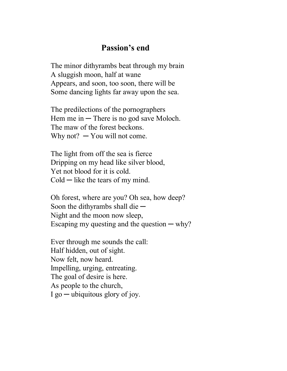### **Passion's end**

The minor dithyrambs beat through my brain A sluggish moon, half at wane Appears, and soon, too soon, there will be Some dancing lights far away upon the sea.

The predilections of the pornographers Hem me in  $-$  There is no god save Moloch. The maw of the forest beckons. Why not?  $-$  You will not come.

The light from off the sea is fierce Dripping on my head like silver blood, Yet not blood for it is cold.  $\text{Cold}-\text{like}$  the tears of my mind.

Oh forest, where are you? Oh sea, how deep? Soon the dithyrambs shall die  $-$ Night and the moon now sleep, Escaping my questing and the question  $-\text{why?}$ 

Ever through me sounds the call: Half hidden, out of sight. Now felt, now heard. Impelling, urging, entreating. The goal of desire is here. As people to the church,  $I$  go  $-$  ubiquitous glory of joy.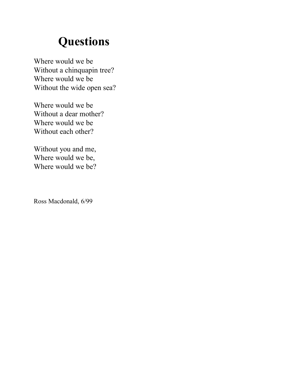# **Questions**

Where would we be Without a chinquapin tree? Where would we be Without the wide open sea?

Where would we be Without a dear mother? Where would we be Without each other?

Without you and me, Where would we be, Where would we be?

Ross Macdonald, 6/99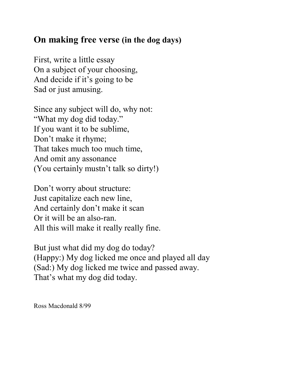# **On making free verse (in the dog days)**

First, write a little essay On a subject of your choosing, And decide if it's going to be Sad or just amusing.

Since any subject will do, why not: "What my dog did today." If you want it to be sublime, Don't make it rhyme; That takes much too much time, And omit any assonance (You certainly mustn't talk so dirty!)

Don't worry about structure: Just capitalize each new line, And certainly don't make it scan Or it will be an also-ran. All this will make it really really fine.

But just what did my dog do today? (Happy:) My dog licked me once and played all day (Sad:) My dog licked me twice and passed away. That's what my dog did today.

Ross Macdonald 8/99